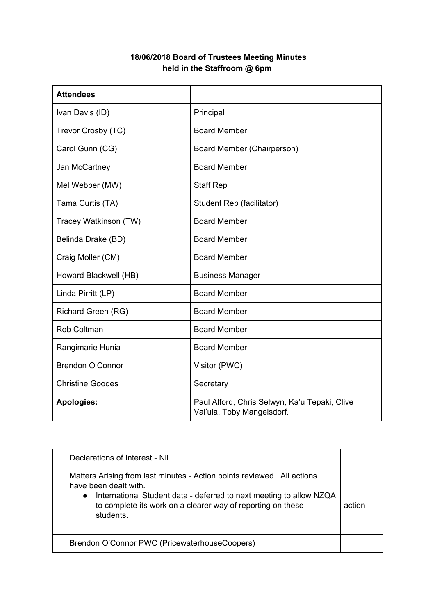## **18/06/2018 Board of Trustees Meeting Minutes held in the Staffroom @ 6pm**

| <b>Attendees</b>        |                                                                             |
|-------------------------|-----------------------------------------------------------------------------|
| Ivan Davis (ID)         | Principal                                                                   |
| Trevor Crosby (TC)      | <b>Board Member</b>                                                         |
| Carol Gunn (CG)         | Board Member (Chairperson)                                                  |
| Jan McCartney           | <b>Board Member</b>                                                         |
| Mel Webber (MW)         | <b>Staff Rep</b>                                                            |
| Tama Curtis (TA)        | Student Rep (facilitator)                                                   |
| Tracey Watkinson (TW)   | <b>Board Member</b>                                                         |
| Belinda Drake (BD)      | <b>Board Member</b>                                                         |
| Craig Moller (CM)       | <b>Board Member</b>                                                         |
| Howard Blackwell (HB)   | <b>Business Manager</b>                                                     |
| Linda Pirritt (LP)      | <b>Board Member</b>                                                         |
| Richard Green (RG)      | <b>Board Member</b>                                                         |
| <b>Rob Coltman</b>      | <b>Board Member</b>                                                         |
| Rangimarie Hunia        | <b>Board Member</b>                                                         |
| <b>Brendon O'Connor</b> | Visitor (PWC)                                                               |
| <b>Christine Goodes</b> | Secretary                                                                   |
| <b>Apologies:</b>       | Paul Alford, Chris Selwyn, Ka'u Tepaki, Clive<br>Vai'ula, Toby Mangelsdorf. |

| Declarations of Interest - Nil                                                                                                                                                                                                                                   |        |
|------------------------------------------------------------------------------------------------------------------------------------------------------------------------------------------------------------------------------------------------------------------|--------|
| Matters Arising from last minutes - Action points reviewed. All actions<br>have been dealt with.<br>International Student data - deferred to next meeting to allow NZQA<br>$\bullet$<br>to complete its work on a clearer way of reporting on these<br>students. | action |
| Brendon O'Connor PWC (PricewaterhouseCoopers)                                                                                                                                                                                                                    |        |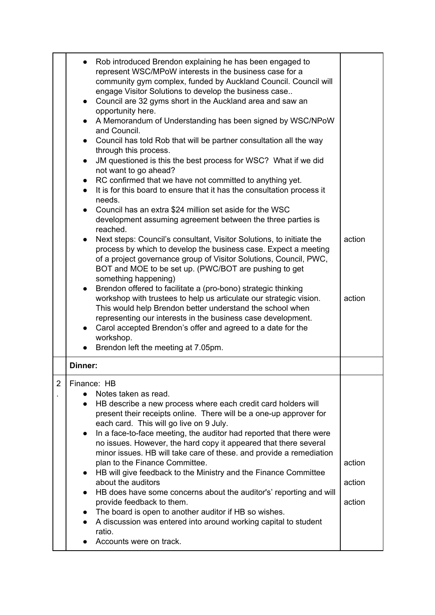|   | Rob introduced Brendon explaining he has been engaged to<br>represent WSC/MPoW interests in the business case for a<br>community gym complex, funded by Auckland Council. Council will<br>engage Visitor Solutions to develop the business case<br>• Council are 32 gyms short in the Auckland area and saw an<br>opportunity here.<br>A Memorandum of Understanding has been signed by WSC/NPoW<br>$\bullet$<br>and Council.<br>Council has told Rob that will be partner consultation all the way<br>$\bullet$<br>through this process.<br>JM questioned is this the best process for WSC? What if we did<br>$\bullet$<br>not want to go ahead?<br>RC confirmed that we have not committed to anything yet.<br>$\bullet$<br>It is for this board to ensure that it has the consultation process it<br>needs.<br>Council has an extra \$24 million set aside for the WSC<br>$\bullet$<br>development assuming agreement between the three parties is<br>reached.<br>Next steps: Council's consultant, Visitor Solutions, to initiate the<br>$\bullet$<br>process by which to develop the business case. Expect a meeting<br>of a project governance group of Visitor Solutions, Council, PWC,<br>BOT and MOE to be set up. (PWC/BOT are pushing to get<br>something happening)<br>Brendon offered to facilitate a (pro-bono) strategic thinking<br>$\bullet$<br>workshop with trustees to help us articulate our strategic vision.<br>This would help Brendon better understand the school when<br>representing our interests in the business case development.<br>Carol accepted Brendon's offer and agreed to a date for the<br>$\bullet$<br>workshop.<br>Brendon left the meeting at 7.05pm. | action<br>action           |
|---|--------------------------------------------------------------------------------------------------------------------------------------------------------------------------------------------------------------------------------------------------------------------------------------------------------------------------------------------------------------------------------------------------------------------------------------------------------------------------------------------------------------------------------------------------------------------------------------------------------------------------------------------------------------------------------------------------------------------------------------------------------------------------------------------------------------------------------------------------------------------------------------------------------------------------------------------------------------------------------------------------------------------------------------------------------------------------------------------------------------------------------------------------------------------------------------------------------------------------------------------------------------------------------------------------------------------------------------------------------------------------------------------------------------------------------------------------------------------------------------------------------------------------------------------------------------------------------------------------------------------------------------------------------------------------------------------------|----------------------------|
|   | Dinner:                                                                                                                                                                                                                                                                                                                                                                                                                                                                                                                                                                                                                                                                                                                                                                                                                                                                                                                                                                                                                                                                                                                                                                                                                                                                                                                                                                                                                                                                                                                                                                                                                                                                                          |                            |
| 2 | Finance: HB<br>Notes taken as read.<br>HB describe a new process where each credit card holders will<br>$\bullet$<br>present their receipts online. There will be a one-up approver for<br>each card. This will go live on 9 July.<br>In a face-to-face meeting, the auditor had reported that there were<br>$\bullet$<br>no issues. However, the hard copy it appeared that there several<br>minor issues. HB will take care of these. and provide a remediation<br>plan to the Finance Committee.<br>HB will give feedback to the Ministry and the Finance Committee<br>$\bullet$<br>about the auditors<br>HB does have some concerns about the auditor's' reporting and will<br>provide feedback to them.<br>The board is open to another auditor if HB so wishes.<br>$\bullet$<br>A discussion was entered into around working capital to student<br>ratio.<br>Accounts were on track.                                                                                                                                                                                                                                                                                                                                                                                                                                                                                                                                                                                                                                                                                                                                                                                                       | action<br>action<br>action |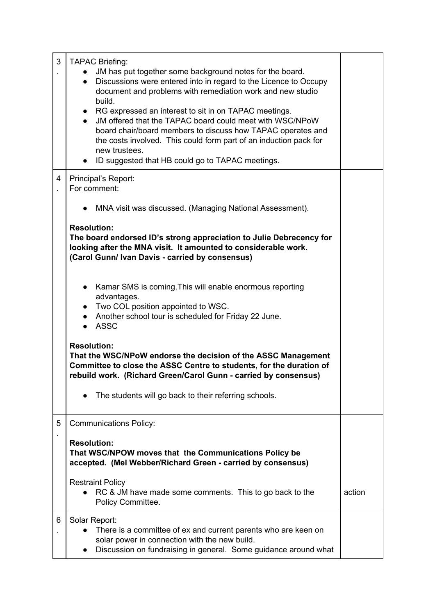| 3 | <b>TAPAC Briefing:</b><br>JM has put together some background notes for the board.<br>Discussions were entered into in regard to the Licence to Occupy<br>$\bullet$<br>document and problems with remediation work and new studio<br>build.<br>RG expressed an interest to sit in on TAPAC meetings.<br>$\bullet$<br>JM offered that the TAPAC board could meet with WSC/NPoW<br>board chair/board members to discuss how TAPAC operates and<br>the costs involved. This could form part of an induction pack for<br>new trustees.<br>ID suggested that HB could go to TAPAC meetings.<br>$\bullet$ |        |
|---|-----------------------------------------------------------------------------------------------------------------------------------------------------------------------------------------------------------------------------------------------------------------------------------------------------------------------------------------------------------------------------------------------------------------------------------------------------------------------------------------------------------------------------------------------------------------------------------------------------|--------|
| 4 | Principal's Report:<br>For comment:                                                                                                                                                                                                                                                                                                                                                                                                                                                                                                                                                                 |        |
|   | MNA visit was discussed. (Managing National Assessment).                                                                                                                                                                                                                                                                                                                                                                                                                                                                                                                                            |        |
|   | <b>Resolution:</b><br>The board endorsed ID's strong appreciation to Julie Debrecency for<br>looking after the MNA visit. It amounted to considerable work.<br>(Carol Gunn/ Ivan Davis - carried by consensus)                                                                                                                                                                                                                                                                                                                                                                                      |        |
|   | Kamar SMS is coming. This will enable enormous reporting<br>$\bullet$<br>advantages.<br>Two COL position appointed to WSC.<br>$\bullet$<br>• Another school tour is scheduled for Friday 22 June.<br><b>ASSC</b>                                                                                                                                                                                                                                                                                                                                                                                    |        |
|   | <b>Resolution:</b><br>That the WSC/NPoW endorse the decision of the ASSC Management<br>Committee to close the ASSC Centre to students, for the duration of<br>rebuild work. (Richard Green/Carol Gunn - carried by consensus)                                                                                                                                                                                                                                                                                                                                                                       |        |
|   | The students will go back to their referring schools.                                                                                                                                                                                                                                                                                                                                                                                                                                                                                                                                               |        |
| 5 | <b>Communications Policy:</b>                                                                                                                                                                                                                                                                                                                                                                                                                                                                                                                                                                       |        |
|   | <b>Resolution:</b><br>That WSC/NPOW moves that the Communications Policy be<br>accepted. (Mel Webber/Richard Green - carried by consensus)                                                                                                                                                                                                                                                                                                                                                                                                                                                          |        |
|   | <b>Restraint Policy</b><br>RC & JM have made some comments. This to go back to the<br>Policy Committee.                                                                                                                                                                                                                                                                                                                                                                                                                                                                                             | action |
| 6 | Solar Report:<br>There is a committee of ex and current parents who are keen on<br>solar power in connection with the new build.<br>Discussion on fundraising in general. Some guidance around what                                                                                                                                                                                                                                                                                                                                                                                                 |        |